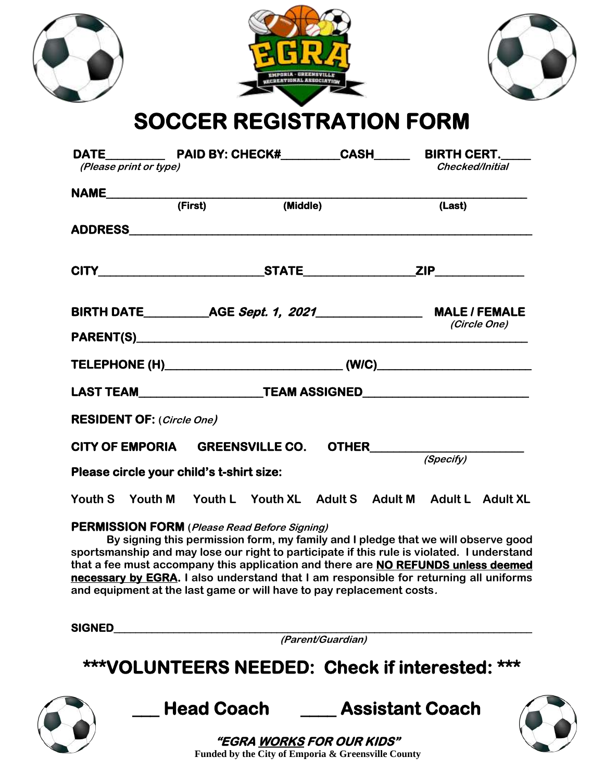|                                  | EMPORLA - GREENSVILLE<br><b>CREATIONAL ASSOCIATION</b><br><b>SOCCER REGISTRATION FORM</b> |                                  |                        |
|----------------------------------|-------------------------------------------------------------------------------------------|----------------------------------|------------------------|
| (Please print or type)           |                                                                                           |                                  | <b>Checked/Initial</b> |
|                                  | NAME <del>(First)</del><br>(Middle)                                                       |                                  | (Last)                 |
|                                  |                                                                                           |                                  |                        |
|                                  |                                                                                           |                                  |                        |
|                                  |                                                                                           |                                  | (Circle One)           |
|                                  |                                                                                           |                                  |                        |
|                                  | LAST TEAM________________________TEAM ASSIGNED__________________________________          |                                  |                        |
| <b>RESIDENT OF: (Circle One)</b> |                                                                                           |                                  |                        |
| <b>CITY OF EMPORIA</b>           | <b>GREENSVILLE CO.</b><br>Please circle your child's t-shirt size:                        | OTHER                            | (Specify)              |
| Youth S<br>Youth M               | Youth L<br>Youth XL<br><b>PERMISSION FORM</b> ( <i>Plagse Read Refore Signing</i> )       | <b>Adult S</b><br><b>Adult M</b> | Adult L Adult XL       |

## **PERMISSION FORM (Please Read Before Signing)**

**By signing this permission form, my family and I pledge that we will observe good sportsmanship and may lose our right to participate if this rule is violated. I understand that a fee must accompany this application and there are NO REFUNDS unless deemed necessary by EGRA. I also understand that I am responsible for returning all uniforms and equipment at the last game or will have to pay replacement costs.**

**SIGNED\_\_\_\_\_\_\_\_\_\_\_\_\_\_\_\_\_\_\_\_\_\_\_\_\_\_\_\_\_\_\_\_\_\_\_\_\_\_\_\_\_\_\_\_\_\_\_\_\_\_\_\_\_\_\_\_\_\_\_\_\_\_\_\_\_\_\_\_\_\_\_\_\_\_\_\_\_ (Parent/Guardian) \*\*\*VOLUNTEERS NEEDED: Check if interested: \*\*\* \_\_\_ Head Coach \_\_\_\_ Assistant Coach "EGRA WORKS FOR OUR KIDS" Funded by the City of Emporia & Greensville County**